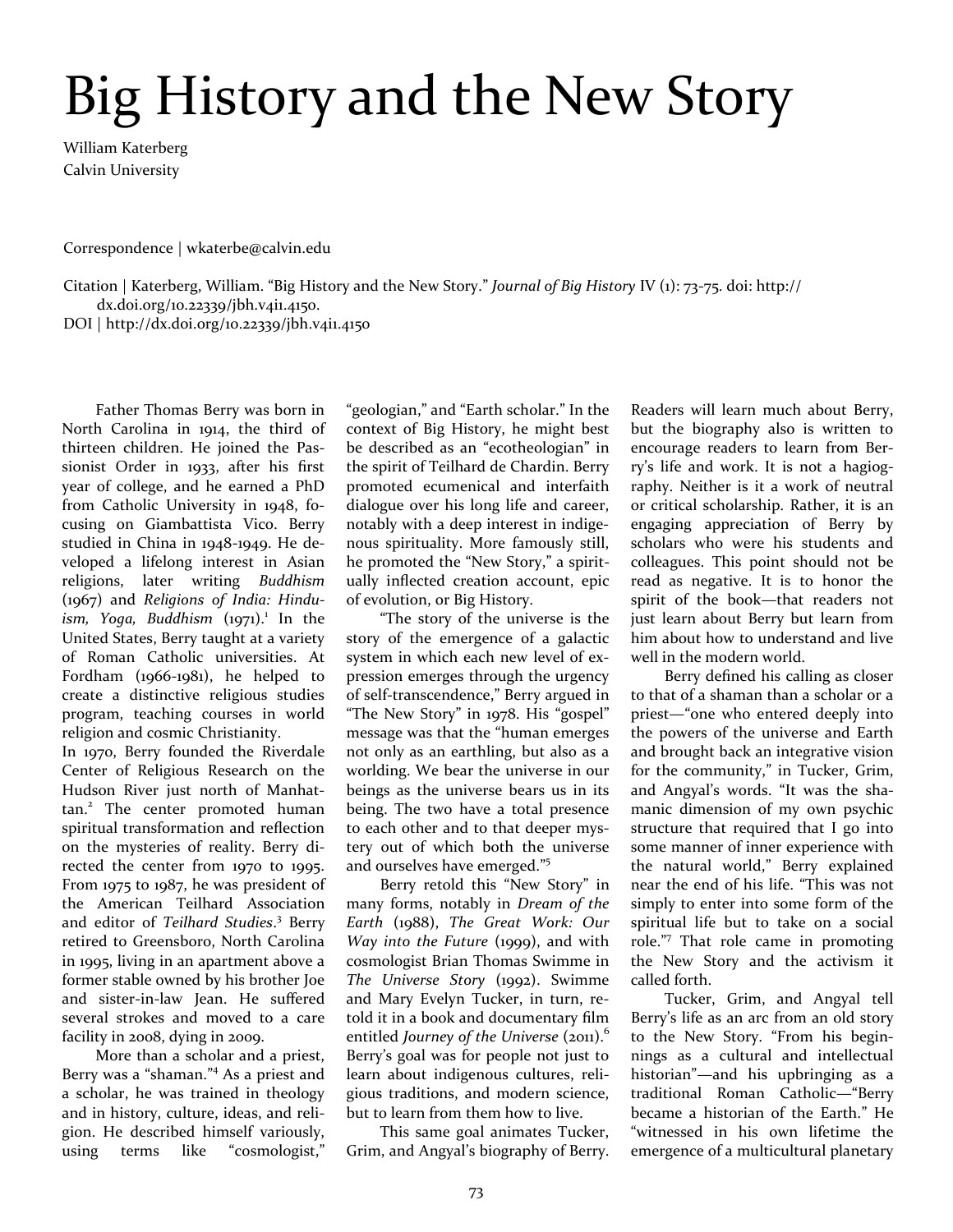## Big History and the New Story

William Katerberg Calvin University

Correspondence | wkaterbe@calvin.edu

Citation | Katerberg, William. "Big History and the New Story." *Journal of Big History* IV (1): 73-75. doi: [http://](http://dx.doi.org/10.22339/jbh) [dx.doi.org/10.22339/jbh.v](http://dx.doi.org/10.22339/jbh)4i1.4150.

DOI | [http://dx.doi.org/10.22339/jbh.v](http://dx.doi.org/10.22339/jbh)4i1.4150

Father Thomas Berry was born in North Carolina in 1914, the third of thirteen children. He joined the Passionist Order in 1933, after his first year of college, and he earned a PhD from Catholic University in 1948, focusing on Giambattista Vico. Berry studied in China in 1948-1949. He developed a lifelong interest in Asian religions, later writing *Buddhism* (1967) and *Religions of India: Hindu*ism, Yoga, Buddhism (1971).<sup>1</sup> In the United States, Berry taught at a variety of Roman Catholic universities. At Fordham (1966-1981), he helped to create a distinctive religious studies program, teaching courses in world religion and cosmic Christianity.

In 1970, Berry founded the Riverdale Center of Religious Research on the Hudson River just north of Manhattan.<sup>2</sup> The center promoted human spiritual transformation and reflection on the mysteries of reality. Berry directed the center from 1970 to 1995. From 1975 to 1987, he was president of the American Teilhard Association and editor of *Teilhard Studies*. 3 Berry retired to Greensboro, North Carolina in 1995, living in an apartment above a former stable owned by his brother Joe and sister-in-law Jean. He suffered several strokes and moved to a care facility in 2008, dying in 2009.

More than a scholar and a priest, Berry was a "shaman." <sup>4</sup> As a priest and a scholar, he was trained in theology and in history, culture, ideas, and religion. He described himself variously, using terms like "cosmologist,"

"geologian," and "Earth scholar." In the context of Big History, he might best be described as an "ecotheologian" in the spirit of Teilhard de Chardin. Berry promoted ecumenical and interfaith dialogue over his long life and career, notably with a deep interest in indigenous spirituality. More famously still, he promoted the "New Story," a spiritually inflected creation account, epic of evolution, or Big History.

"The story of the universe is the story of the emergence of a galactic system in which each new level of expression emerges through the urgency of self-transcendence," Berry argued in "The New Story" in 1978. His "gospel" message was that the "human emerges not only as an earthling, but also as a worlding. We bear the universe in our beings as the universe bears us in its being. The two have a total presence to each other and to that deeper mystery out of which both the universe and ourselves have emerged." 5

Berry retold this "New Story" in many forms, notably in *Dream of the Earth* (1988), *The Great Work: Our Way into the Future* (1999), and with cosmologist Brian Thomas Swimme in *The Universe Story* (1992). Swimme and Mary Evelyn Tucker, in turn, retold it in a book and documentary film entitled *Journey of the Universe* (2011).<sup>6</sup> Berry's goal was for people not just to learn about indigenous cultures, religious traditions, and modern science, but to learn from them how to live.

This same goal animates Tucker, Grim, and Angyal's biography of Berry. Readers will learn much about Berry, but the biography also is written to encourage readers to learn from Berry's life and work. It is not a hagiography. Neither is it a work of neutral or critical scholarship. Rather, it is an engaging appreciation of Berry by scholars who were his students and colleagues. This point should not be read as negative. It is to honor the spirit of the book—that readers not just learn about Berry but learn from him about how to understand and live well in the modern world.

Berry defined his calling as closer to that of a shaman than a scholar or a priest—"one who entered deeply into the powers of the universe and Earth and brought back an integrative vision for the community," in Tucker, Grim, and Angyal's words. "It was the shamanic dimension of my own psychic structure that required that I go into some manner of inner experience with the natural world," Berry explained near the end of his life. "This was not simply to enter into some form of the spiritual life but to take on a social role." 7 That role came in promoting the New Story and the activism it called forth.

Tucker, Grim, and Angyal tell Berry's life as an arc from an old story to the New Story. "From his beginnings as a cultural and intellectual historian"—and his upbringing as a traditional Roman Catholic—"Berry became a historian of the Earth." He "witnessed in his own lifetime the emergence of a multicultural planetary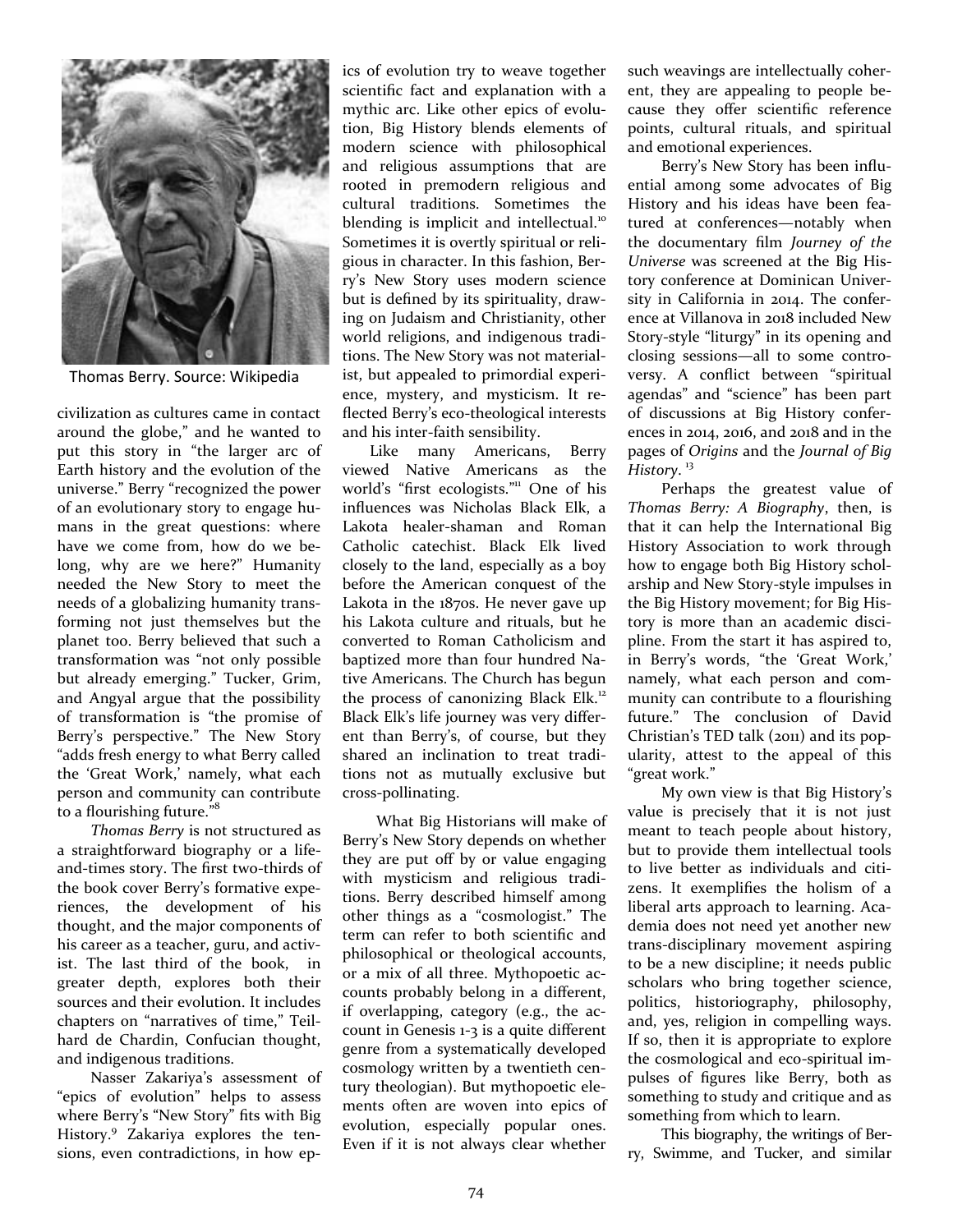

Thomas Berry. Source: Wikipedia

civilization as cultures came in contact around the globe," and he wanted to put this story in "the larger arc of Earth history and the evolution of the universe." Berry "recognized the power of an evolutionary story to engage humans in the great questions: where have we come from, how do we belong, why are we here?" Humanity needed the New Story to meet the needs of a globalizing humanity transforming not just themselves but the planet too. Berry believed that such a transformation was "not only possible but already emerging." Tucker, Grim, and Angyal argue that the possibility of transformation is "the promise of Berry's perspective." The New Story "adds fresh energy to what Berry called the 'Great Work,' namely, what each person and community can contribute to a flourishing future."<sup>8</sup>

*Thomas Berry* is not structured as a straightforward biography or a lifeand-times story. The first two-thirds of the book cover Berry's formative experiences, the development of his thought, and the major components of his career as a teacher, guru, and activist. The last third of the book, in greater depth, explores both their sources and their evolution. It includes chapters on "narratives of time," Teilhard de Chardin, Confucian thought, and indigenous traditions.

Nasser Zakariya's assessment of "epics of evolution" helps to assess where Berry's "New Story" fits with Big History.<sup>9</sup> Zakariya explores the tensions, even contradictions, in how ep-

ics of evolution try to weave together scientific fact and explanation with a mythic arc. Like other epics of evolution, Big History blends elements of modern science with philosophical and religious assumptions that are rooted in premodern religious and cultural traditions. Sometimes the blending is implicit and intellectual.<sup>10</sup> Sometimes it is overtly spiritual or religious in character. In this fashion, Berry's New Story uses modern science but is defined by its spirituality, drawing on Judaism and Christianity, other world religions, and indigenous traditions. The New Story was not materialist, but appealed to primordial experience, mystery, and mysticism. It reflected Berry's eco-theological interests and his inter-faith sensibility.

Like many Americans, Berry viewed Native Americans as the world's "first ecologists."<sup>11</sup> One of his influences was Nicholas Black Elk, a Lakota healer-shaman and Roman Catholic catechist. Black Elk lived closely to the land, especially as a boy before the American conquest of the Lakota in the 1870s. He never gave up his Lakota culture and rituals, but he converted to Roman Catholicism and baptized more than four hundred Native Americans. The Church has begun the process of canonizing Black Elk.<sup>12</sup> Black Elk's life journey was very different than Berry's, of course, but they shared an inclination to treat traditions not as mutually exclusive but cross-pollinating.

What Big Historians will make of Berry's New Story depends on whether they are put off by or value engaging with mysticism and religious traditions. Berry described himself among other things as a "cosmologist." The term can refer to both scientific and philosophical or theological accounts, or a mix of all three. Mythopoetic accounts probably belong in a different, if overlapping, category (e.g., the account in Genesis 1-3 is a quite different genre from a systematically developed cosmology written by a twentieth century theologian). But mythopoetic elements often are woven into epics of evolution, especially popular ones. Even if it is not always clear whether

such weavings are intellectually coherent, they are appealing to people because they offer scientific reference points, cultural rituals, and spiritual and emotional experiences.

Berry's New Story has been influential among some advocates of Big History and his ideas have been featured at conferences—notably when the documentary film *Journey of the Universe* was screened at the Big History conference at Dominican University in California in 2014. The conference at Villanova in 2018 included New Story-style "liturgy" in its opening and closing sessions—all to some controversy. A conflict between "spiritual agendas" and "science" has been part of discussions at Big History conferences in 2014, 2016, and 2018 and in the pages of *Origins* and the *Journal of Big History*. 13

Perhaps the greatest value of *Thomas Berry: A Biography*, then, is that it can help the [International Big](https://bighistory.org/)  [History Association t](https://bighistory.org/)o work through how to engage both Big History scholarship and New Story-style impulses in the Big History movement; for Big History is more than an academic discipline. From the start it has aspired to, in Berry's words, "the 'Great Work,' namely, what each person and community can contribute to a flourishing future." The conclusion of [David](https://www.ted.com/talks/david_christian_big_history?language=en)  Christian'[s TED talk \(](https://www.ted.com/talks/david_christian_big_history?language=en)2011) and its popularity, attest to the appeal of this "great work."

My own view is that Big History's value is precisely that it is not just meant to teach people about history, but to provide them intellectual tools to live better as individuals and citizens. It exemplifies the holism of a liberal arts approach to learning. Academia does not need yet another new trans-disciplinary movement aspiring to be a new discipline; it needs public scholars who bring together science, politics, historiography, philosophy, and, yes, religion in compelling ways. If so, then it is appropriate to explore the cosmological and eco-spiritual impulses of figures like Berry, both as something to study and critique and as something from which to learn.

This biography, the writings of Berry, Swimme, and Tucker, and similar